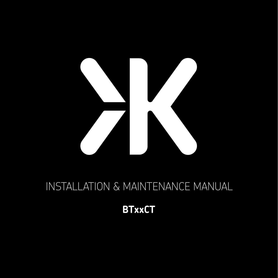

# INSTALLATION & MAINTENANCE MANUAL

## **BTxxCT**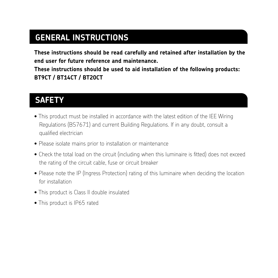### **GENERAL INSTRUCTIONS**

**These instructions should be read carefully and retained after installation by the end user for future reference and maintenance.**

**These instructions should be used to aid installation of the following products: BT9CT / BT14CT / BT20CT**

### **SAFETY**

- This product must be installed in accordance with the latest edition of the IEE Wiring Regulations (BS7671) and current Building Regulations. If in any doubt, consult a qualified electrician
- Please isolate mains prior to installation or maintenance
- Check the total load on the circuit (including when this luminaire is fitted) does not exceed the rating of the circuit cable, fuse or circuit breaker
- Please note the IP (Ingress Protection) rating of this luminaire when deciding the location for installation
- This product is Class II double insulated
- This product is IP65 rated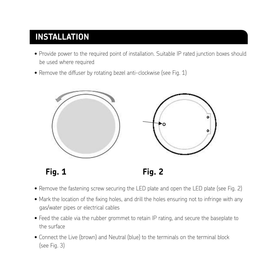#### **INSTALLATION**  $\sim$  This product is IP65 rated in  $\sim$ installation • This product is IP65 rated

- **INSTALLATION** Provide power to the required point of installation. Suitable IP rated junction boxes should be used where required
- $\bullet$  Remove the diffuser by rotating bezel anti-clockwise (see Fig. 1)



 $Fig. 1$ 

- Fig. 1 Fig. 2 **Fig. 1 Fig. 2**
- $\bullet$  Remove the fastening screw securing the LED plate and open the LED plate (see Fig. 2)
- . Mark the location of the fixing holes, and drill the holes ensuring not to infringe with any gas/water pipes or electrical cables contract to the state of the state of the state of the state of the state o
- Feed the cable via the rubber grommet to retain IP rating, and secure the baseplate to the surface
	- Connect the Live (brown) and Neutral (blue) to the terminals on the terminal block (see Fig. 3)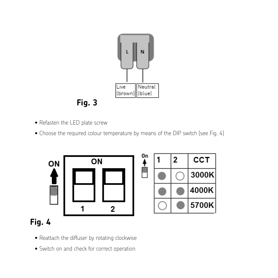

• Refasten the LED plate screw • Refasten the LED plate screw

**Fig. 3**

• Choose the required colour temperature by means of the DIP switch (see Fig. 4) • Choose the required colour temperature by means of the DIP switch (see Fig. 4)

Ï

On  $\overline{ON}$ ON  $\overline{2}$ 1

|  | 2 | сст   |
|--|---|-------|
|  |   | 3000K |
|  |   | 4000K |
|  |   | 5700K |

### **Fig. 4**

- Reattach the diffuser by rotating clockwise Reattach the diffuser by rotating clockwise
- Switch on and check for correct operation Switch on and check for correct operation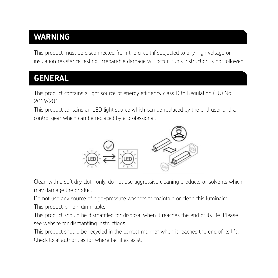### **WARNING**

This product must be disconnected from the circuit if subjected to any high voltage or insulation resistance testing. Irreparable damage will occur if this instruction is not followed.

### **GENERAL**

This product contains a light source of energy efficiency class D to Regulation (EU) No. **GENERAL** 2019/2015.

This product contains an LED light source which can be replaced by the end user and a control gear which can be replaced by a professional. be replaced by a professional.



Clean with a soft dry cloth only, do not use aggressive cleaning products or solvents which Clean with a soft dry cloth only, do not use aggressive cleaning products or solvents which may damage the may damage the product. product.

Do not use any source of high-pressure washers to maintain or clean this luminaire. Do not use any source of high-pressure washers to maintain or clean this luminaire.

This product is non-dimmable.

This product should be dismantled for disposal when it reaches the end of its life. Please see website for dismantling instructions. This product is a see website for dismantled for its life. Please se

This product should be recycled in the correct manner when it reaches the end of its life. Check local authorities for where facilities exist.  $T$ es for where facilities exist.